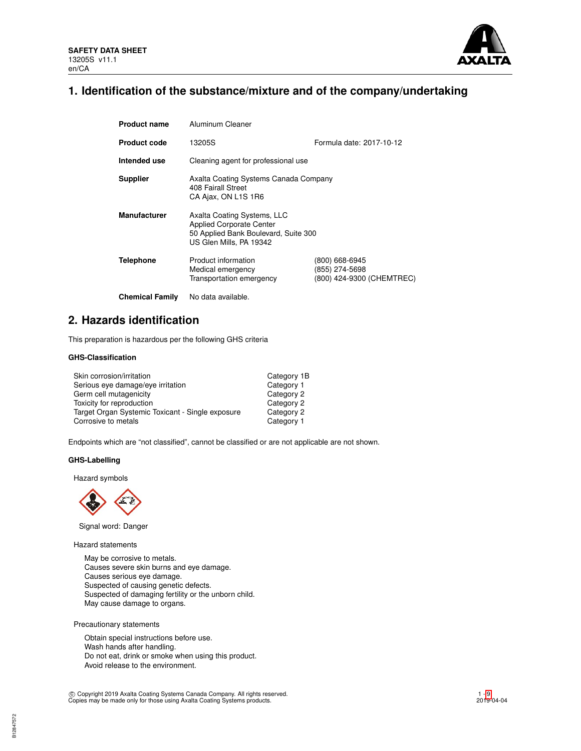

# **1. Identification of the substance/mixture and of the company/undertaking**

| <b>Product name</b>    | Aluminum Cleaner                                                                                                                  |                                                               |  |  |  |
|------------------------|-----------------------------------------------------------------------------------------------------------------------------------|---------------------------------------------------------------|--|--|--|
| <b>Product code</b>    | 13205S                                                                                                                            | Formula date: 2017-10-12                                      |  |  |  |
| Intended use           | Cleaning agent for professional use                                                                                               |                                                               |  |  |  |
| <b>Supplier</b>        | Axalta Coating Systems Canada Company<br>408 Fairall Street<br>CA Ajax, ON L1S 1R6                                                |                                                               |  |  |  |
| <b>Manufacturer</b>    | Axalta Coating Systems, LLC<br><b>Applied Corporate Center</b><br>50 Applied Bank Boulevard, Suite 300<br>US Glen Mills, PA 19342 |                                                               |  |  |  |
| Telephone              | Product information<br>Medical emergency<br>Transportation emergency                                                              | (800) 668-6945<br>(855) 274-5698<br>(800) 424-9300 (CHEMTREC) |  |  |  |
| <b>Chemical Family</b> | No data available.                                                                                                                |                                                               |  |  |  |

# **2. Hazards identification**

This preparation is hazardous per the following GHS criteria

# **GHS-Classification**

| Skin corrosion/irritation                        | Category 1B |
|--------------------------------------------------|-------------|
| Serious eye damage/eye irritation                | Category 1  |
| Germ cell mutagenicity                           | Category 2  |
| Toxicity for reproduction                        | Category 2  |
| Target Organ Systemic Toxicant - Single exposure | Category 2  |
| Corrosive to metals                              | Category 1  |

Endpoints which are "not classified", cannot be classified or are not applicable are not shown.

# **GHS-Labelling**

Hazard symbols



Signal word: Danger

Hazard statements

May be corrosive to metals. Causes severe skin burns and eye damage. Causes serious eye damage. Suspected of causing genetic defects. Suspected of damaging fertility or the unborn child. May cause damage to organs.

Precautionary statements

Obtain special instructions before use. Wash hands after handling. Do not eat, drink or smoke when using this product. Avoid release to the environment.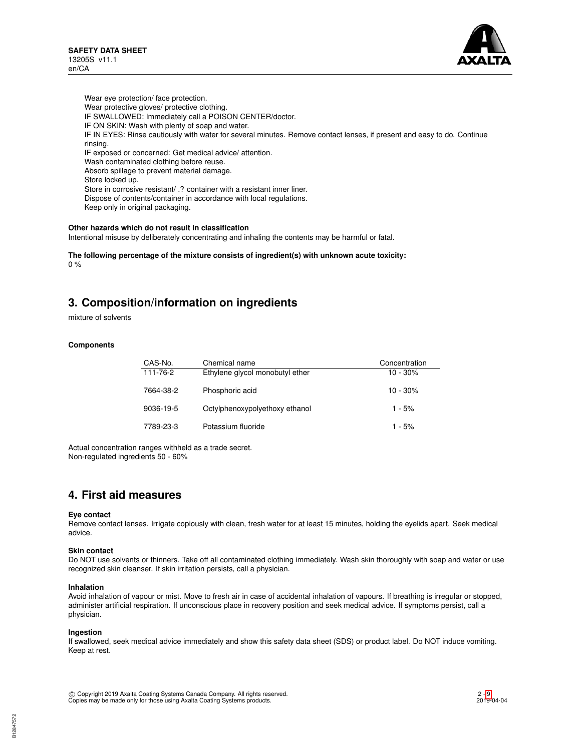

Wear eye protection/ face protection. Wear protective gloves/ protective clothing. IF SWALLOWED: Immediately call a POISON CENTER/doctor. IF ON SKIN: Wash with plenty of soap and water. IF IN EYES: Rinse cautiously with water for several minutes. Remove contact lenses, if present and easy to do. Continue rinsing. IF exposed or concerned: Get medical advice/ attention. Wash contaminated clothing before reuse. Absorb spillage to prevent material damage. Store locked up. Store in corrosive resistant/ .? container with a resistant inner liner. Dispose of contents/container in accordance with local regulations. Keep only in original packaging.

### **Other hazards which do not result in classification**

Intentional misuse by deliberately concentrating and inhaling the contents may be harmful or fatal.

**The following percentage of the mixture consists of ingredient(s) with unknown acute toxicity:**  $0 %$ 

# **3. Composition/information on ingredients**

mixture of solvents

### **Components**

| CAS-No.   | Chemical name                   | Concentration |
|-----------|---------------------------------|---------------|
| 111-76-2  | Ethylene glycol monobutyl ether | $10 - 30%$    |
| 7664-38-2 | Phosphoric acid                 | $10 - 30%$    |
| 9036-19-5 | Octylphenoxypolyethoxy ethanol  | $1 - 5%$      |
| 7789-23-3 | Potassium fluoride              | $1 - 5%$      |

Actual concentration ranges withheld as a trade secret. Non-regulated ingredients 50 - 60%

# **4. First aid measures**

### **Eye contact**

Remove contact lenses. Irrigate copiously with clean, fresh water for at least 15 minutes, holding the eyelids apart. Seek medical advice.

### **Skin contact**

Do NOT use solvents or thinners. Take off all contaminated clothing immediately. Wash skin thoroughly with soap and water or use recognized skin cleanser. If skin irritation persists, call a physician.

### **Inhalation**

Avoid inhalation of vapour or mist. Move to fresh air in case of accidental inhalation of vapours. If breathing is irregular or stopped, administer artificial respiration. If unconscious place in recovery position and seek medical advice. If symptoms persist, call a physician.

### **Ingestion**

If swallowed, seek medical advice immediately and show this safety data sheet (SDS) or product label. Do NOT induce vomiting. Keep at rest.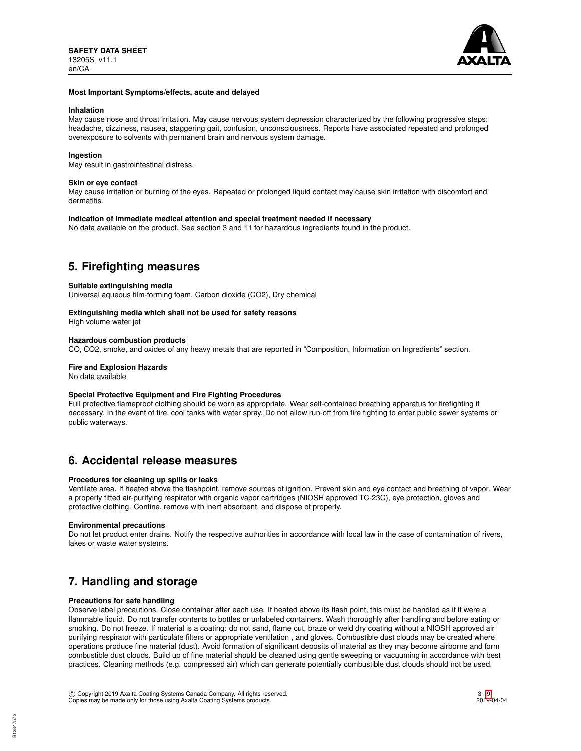

### **Most Important Symptoms/effects, acute and delayed**

### **Inhalation**

May cause nose and throat irritation. May cause nervous system depression characterized by the following progressive steps: headache, dizziness, nausea, staggering gait, confusion, unconsciousness. Reports have associated repeated and prolonged overexposure to solvents with permanent brain and nervous system damage.

### **Ingestion**

May result in gastrointestinal distress.

### **Skin or eye contact**

May cause irritation or burning of the eyes. Repeated or prolonged liquid contact may cause skin irritation with discomfort and dermatitis.

### **Indication of Immediate medical attention and special treatment needed if necessary**

No data available on the product. See section 3 and 11 for hazardous ingredients found in the product.

# **5. Firefighting measures**

#### **Suitable extinguishing media**

Universal aqueous film-forming foam, Carbon dioxide (CO2), Dry chemical

# **Extinguishing media which shall not be used for safety reasons**

High volume water jet

### **Hazardous combustion products**

CO, CO2, smoke, and oxides of any heavy metals that are reported in "Composition, Information on Ingredients" section.

### **Fire and Explosion Hazards**

No data available

### **Special Protective Equipment and Fire Fighting Procedures**

Full protective flameproof clothing should be worn as appropriate. Wear self-contained breathing apparatus for firefighting if necessary. In the event of fire, cool tanks with water spray. Do not allow run-off from fire fighting to enter public sewer systems or public waterways.

# **6. Accidental release measures**

# **Procedures for cleaning up spills or leaks**

Ventilate area. If heated above the flashpoint, remove sources of ignition. Prevent skin and eye contact and breathing of vapor. Wear a properly fitted air-purifying respirator with organic vapor cartridges (NIOSH approved TC-23C), eye protection, gloves and protective clothing. Confine, remove with inert absorbent, and dispose of properly.

### **Environmental precautions**

Do not let product enter drains. Notify the respective authorities in accordance with local law in the case of contamination of rivers, lakes or waste water systems.

# **7. Handling and storage**

# **Precautions for safe handling**

Observe label precautions. Close container after each use. If heated above its flash point, this must be handled as if it were a flammable liquid. Do not transfer contents to bottles or unlabeled containers. Wash thoroughly after handling and before eating or smoking. Do not freeze. If material is a coating: do not sand, flame cut, braze or weld dry coating without a NIOSH approved air purifying respirator with particulate filters or appropriate ventilation , and gloves. Combustible dust clouds may be created where operations produce fine material (dust). Avoid formation of significant deposits of material as they may become airborne and form combustible dust clouds. Build up of fine material should be cleaned using gentle sweeping or vacuuming in accordance with best practices. Cleaning methods (e.g. compressed air) which can generate potentially combustible dust clouds should not be used.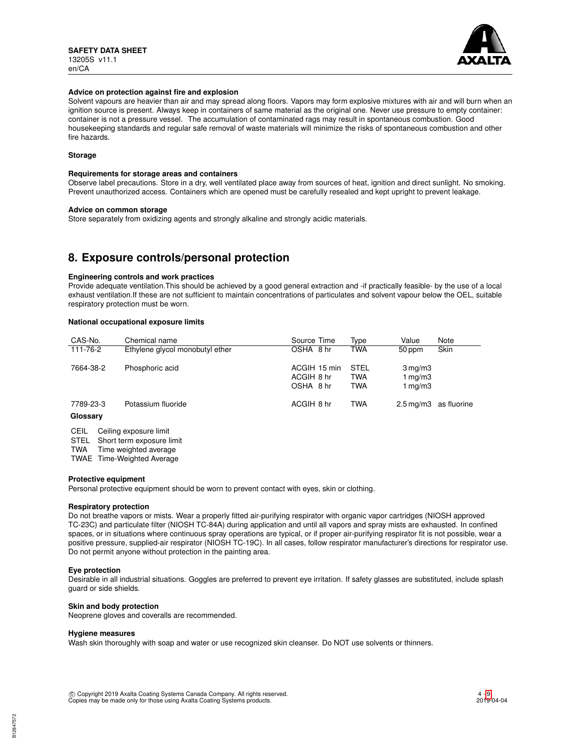

### **Advice on protection against fire and explosion**

Solvent vapours are heavier than air and may spread along floors. Vapors may form explosive mixtures with air and will burn when an ignition source is present. Always keep in containers of same material as the original one. Never use pressure to empty container: container is not a pressure vessel. The accumulation of contaminated rags may result in spontaneous combustion. Good housekeeping standards and regular safe removal of waste materials will minimize the risks of spontaneous combustion and other fire hazards.

# **Storage**

#### **Requirements for storage areas and containers**

Observe label precautions. Store in a dry, well ventilated place away from sources of heat, ignition and direct sunlight. No smoking. Prevent unauthorized access. Containers which are opened must be carefully resealed and kept upright to prevent leakage.

### **Advice on common storage**

Store separately from oxidizing agents and strongly alkaline and strongly acidic materials.

# **8. Exposure controls/personal protection**

### **Engineering controls and work practices**

Provide adequate ventilation.This should be achieved by a good general extraction and -if practically feasible- by the use of a local exhaust ventilation.If these are not sufficient to maintain concentrations of particulates and solvent vapour below the OEL, suitable respiratory protection must be worn.

### **National occupational exposure limits**

| CAS-No.                        | Chemical name                   | Source Time                             | Type                             | Value                                     | Note                              |
|--------------------------------|---------------------------------|-----------------------------------------|----------------------------------|-------------------------------------------|-----------------------------------|
| 111-76-2                       | Ethylene glycol monobutyl ether | OSHA 8 hr                               | TWA                              | 50 ppm                                    | <b>Skin</b>                       |
| 7664-38-2                      | Phosphoric acid                 | ACGIH 15 min<br>ACGIH 8 hr<br>OSHA 8 hr | <b>STEL</b><br>TWA<br><b>TWA</b> | $3 \,\mathrm{mg/m}$<br>1 mg/m3<br>1 mg/m3 |                                   |
| 7789-23-3<br>Glossary          | Potassium fluoride              | ACGIH 8 hr                              | <b>TWA</b>                       |                                           | $2.5 \,\mathrm{mg/m}$ as fluorine |
| CEIL<br>Ceiling exposure limit |                                 |                                         |                                  |                                           |                                   |

STEL Short term exposure limit

TWA Time weighted average

TWAE Time-Weighted Average

#### **Protective equipment**

Personal protective equipment should be worn to prevent contact with eyes, skin or clothing.

# **Respiratory protection**

Do not breathe vapors or mists. Wear a properly fitted air-purifying respirator with organic vapor cartridges (NIOSH approved TC-23C) and particulate filter (NIOSH TC-84A) during application and until all vapors and spray mists are exhausted. In confined spaces, or in situations where continuous spray operations are typical, or if proper air-purifying respirator fit is not possible, wear a positive pressure, supplied-air respirator (NIOSH TC-19C). In all cases, follow respirator manufacturer's directions for respirator use. Do not permit anyone without protection in the painting area.

### **Eye protection**

Desirable in all industrial situations. Goggles are preferred to prevent eye irritation. If safety glasses are substituted, include splash guard or side shields.

### **Skin and body protection**

Neoprene gloves and coveralls are recommended.

### **Hygiene measures**

Wash skin thoroughly with soap and water or use recognized skin cleanser. Do NOT use solvents or thinners.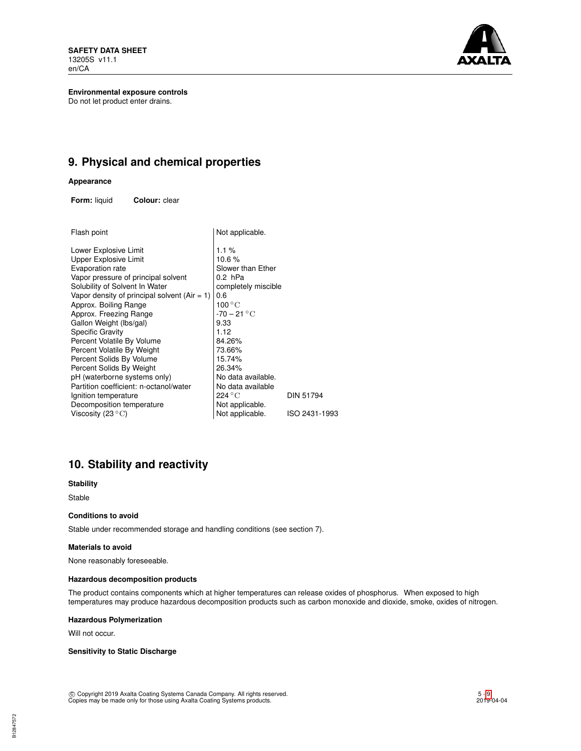**SAFETY DATA SHEET** 13205S v11.1 en/CA



**Environmental exposure controls** Do not let product enter drains.

# **9. Physical and chemical properties**

### **Appearance**

**Form:** liquid **Colour:** clear

| Flash point                                     | Not applicable.           |                  |
|-------------------------------------------------|---------------------------|------------------|
| Lower Explosive Limit                           | $1.1\%$                   |                  |
| Upper Explosive Limit                           | 10.6%                     |                  |
| Evaporation rate                                | Slower than Ether         |                  |
| Vapor pressure of principal solvent             | 0.2 hPa                   |                  |
| Solubility of Solvent In Water                  | completely miscible       |                  |
| Vapor density of principal solvent (Air $= 1$ ) | 0.6                       |                  |
| Approx. Boiling Range                           | 100 $^{\circ}$ C          |                  |
| Approx. Freezing Range                          | $-70 - 21 °C$             |                  |
| Gallon Weight (lbs/gal)                         | 9.33                      |                  |
| Specific Gravity                                | 1.12                      |                  |
| Percent Volatile By Volume                      | 84.26%                    |                  |
| Percent Volatile By Weight                      | 73.66%                    |                  |
| Percent Solids By Volume                        | 15.74%                    |                  |
| Percent Solids By Weight                        | 26.34%                    |                  |
| pH (waterborne systems only)                    | No data available.        |                  |
| Partition coefficient: n-octanol/water          | No data available         |                  |
| Ignition temperature                            | $224\,^{\circ}\mathrm{C}$ | <b>DIN 51794</b> |
| Decomposition temperature                       | Not applicable.           |                  |
| Viscosity (23 $^{\circ}$ C)                     | Not applicable.           | ISO 2431-1993    |
|                                                 |                           |                  |

# **10. Stability and reactivity**

**Stability**

Stable

## **Conditions to avoid**

Stable under recommended storage and handling conditions (see section 7).

# **Materials to avoid**

None reasonably foreseeable.

# **Hazardous decomposition products**

The product contains components which at higher temperatures can release oxides of phosphorus. When exposed to high temperatures may produce hazardous decomposition products such as carbon monoxide and dioxide, smoke, oxides of nitrogen.

## **Hazardous Polymerization**

Will not occur.

# **Sensitivity to Static Discharge**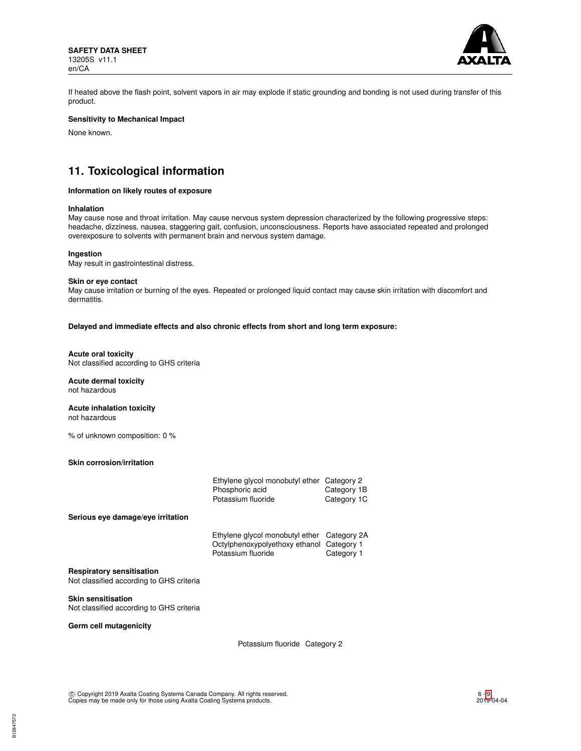

If heated above the flash point, solvent vapors in air may explode if static grounding and bonding is not used during transfer of this product.

# **Sensitivity to Mechanical Impact**

None known.

# **11. Toxicological information**

# **Information on likely routes of exposure**

### **Inhalation**

May cause nose and throat irritation. May cause nervous system depression characterized by the following progressive steps: headache, dizziness, nausea, staggering gait, confusion, unconsciousness. Reports have associated repeated and prolonged overexposure to solvents with permanent brain and nervous system damage.

#### **Ingestion**

May result in gastrointestinal distress.

#### **Skin or eye contact**

May cause irritation or burning of the eyes. Repeated or prolonged liquid contact may cause skin irritation with discomfort and dermatitis.

#### **Delayed and immediate effects and also chronic effects from short and long term exposure:**

### **Acute oral toxicity**

Not classified according to GHS criteria

# **Acute dermal toxicity**

not hazardous

### **Acute inhalation toxicity** not hazardous

% of unknown composition: 0 %

### **Skin corrosion/irritation**

|                                                                              | Ethylene glycol monobutyl ether<br>Phosphoric acid<br>Potassium fluoride                           | Category 2<br>Category 1B<br>Category 1C |
|------------------------------------------------------------------------------|----------------------------------------------------------------------------------------------------|------------------------------------------|
| Serious eye damage/eye irritation                                            |                                                                                                    |                                          |
|                                                                              | Ethylene glycol monobutyl ether<br>Octylphenoxypolyethoxy ethanol Category 1<br>Potassium fluoride | Category 2A<br>Category 1                |
| <b>Respiratory sensitisation</b><br>Not classified according to GHS criteria |                                                                                                    |                                          |
| <b>Skin sensitisation</b><br>Not classified according to GHS criteria        |                                                                                                    |                                          |

# **Germ cell mutagenicity**

B12847572

Potassium fluoride Category 2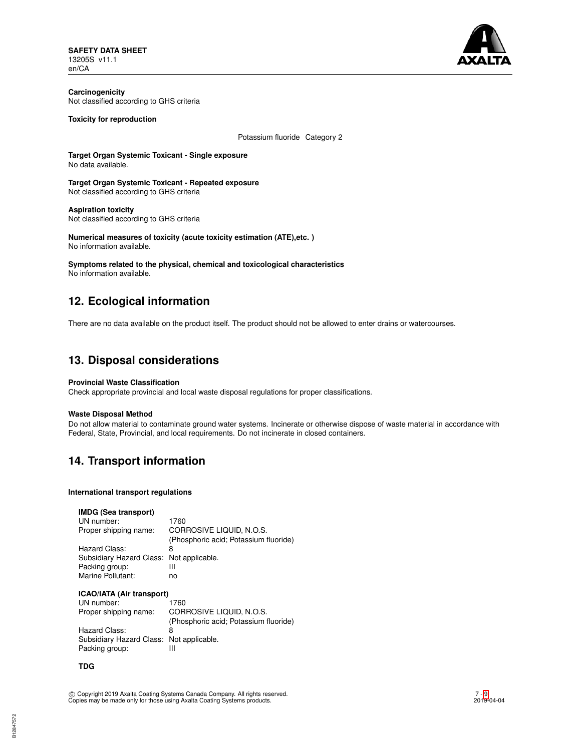

**Carcinogenicity** Not classified according to GHS criteria

**Toxicity for reproduction**

Potassium fluoride Category 2

**Target Organ Systemic Toxicant - Single exposure** No data available.

**Target Organ Systemic Toxicant - Repeated exposure** Not classified according to GHS criteria

**Aspiration toxicity** Not classified according to GHS criteria

**Numerical measures of toxicity (acute toxicity estimation (ATE),etc. )** No information available.

**Symptoms related to the physical, chemical and toxicological characteristics** No information available.

# **12. Ecological information**

There are no data available on the product itself. The product should not be allowed to enter drains or watercourses.

# **13. Disposal considerations**

### **Provincial Waste Classification**

Check appropriate provincial and local waste disposal regulations for proper classifications.

# **Waste Disposal Method**

Do not allow material to contaminate ground water systems. Incinerate or otherwise dispose of waste material in accordance with Federal, State, Provincial, and local requirements. Do not incinerate in closed containers.

# **14. Transport information**

### **International transport regulations**

### **IMDG (Sea transport)**

| UN number:                               | 1760                                  |
|------------------------------------------|---------------------------------------|
| Proper shipping name:                    | CORROSIVE LIQUID, N.O.S.              |
|                                          | (Phosphoric acid; Potassium fluoride) |
| Hazard Class:                            | 8                                     |
| Subsidiary Hazard Class: Not applicable. |                                       |
| Packing group:                           | Ш                                     |
| Marine Pollutant:                        | no                                    |

# **ICAO/IATA (Air transport)**

| 1760                                     |
|------------------------------------------|
| CORROSIVE LIQUID, N.O.S.                 |
| (Phosphoric acid; Potassium fluoride)    |
| 8                                        |
| Subsidiary Hazard Class: Not applicable. |
| Ш                                        |
|                                          |

## **TDG**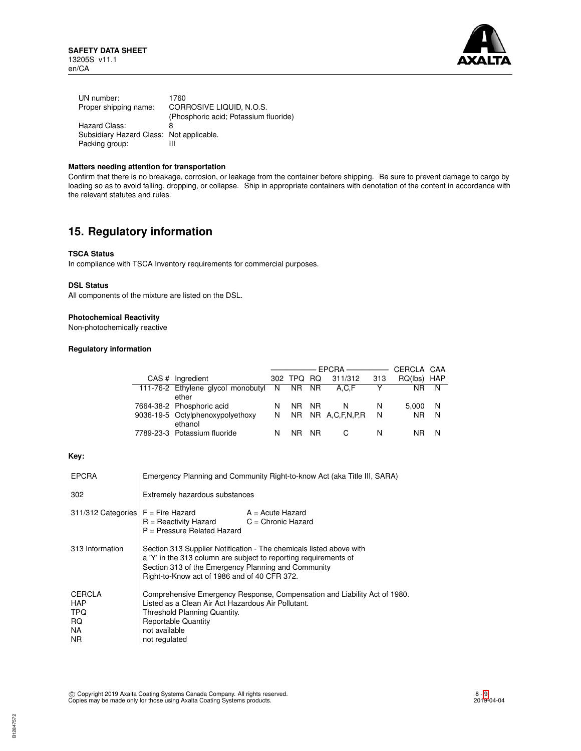

| UN number:                               | 1760                                  |
|------------------------------------------|---------------------------------------|
| Proper shipping name:                    | CORROSIVE LIQUID, N.O.S.              |
|                                          | (Phosphoric acid; Potassium fluoride) |
| Hazard Class:                            | 8                                     |
| Subsidiary Hazard Class: Not applicable. |                                       |
| Packing group:                           | Ш                                     |

# **Matters needing attention for transportation**

Confirm that there is no breakage, corrosion, or leakage from the container before shipping. Be sure to prevent damage to cargo by loading so as to avoid falling, dropping, or collapse. Ship in appropriate containers with denotation of the content in accordance with the relevant statutes and rules.

# **15. Regulatory information**

### **TSCA Status**

In compliance with TSCA Inventory requirements for commercial purposes.

### **DSL Status**

All components of the mixture are listed on the DSL.

## **Photochemical Reactivity**

Non-photochemically reactive

# **Regulatory information**

|                                      |     |       |     |                   |     | CERCLA CAA |            |
|--------------------------------------|-----|-------|-----|-------------------|-----|------------|------------|
| CAS # Ingredient                     | 302 | TPQ.  | RQ. | 311/312           | 313 | RQ(lbs)    | <b>HAP</b> |
| 111-76-2 Ethylene glycol monobutyl N |     | NR NR |     | A.C.F             |     | NR.        | N          |
| ether                                |     |       |     |                   |     |            |            |
| 7664-38-2 Phosphoric acid            | N   | NR NR |     | N                 | N   | 5.000      | -N         |
| 9036-19-5 Octylphenoxypolyethoxy     | N   |       |     | NR NR A,C,F,N,P,R | N   | <b>NR</b>  | N          |
| ethanol                              |     |       |     |                   |     |            |            |
| 7789-23-3 Potassium fluoride         | N   | NR.   | NR. |                   | N   |            | N          |

# **Key:**

| <b>EPCRA</b>                                            | Emergency Planning and Community Right-to-know Act (aka Title III, SARA)                                                                                                                                                                       |                                                                           |  |
|---------------------------------------------------------|------------------------------------------------------------------------------------------------------------------------------------------------------------------------------------------------------------------------------------------------|---------------------------------------------------------------------------|--|
| 302                                                     | Extremely hazardous substances                                                                                                                                                                                                                 |                                                                           |  |
| $311/312$ Categories $F =$ Fire Hazard                  | $R =$ Reactivity Hazard $C =$ Chronic Hazard<br>P = Pressure Related Hazard                                                                                                                                                                    | $A = Acute$ Hazard                                                        |  |
| 313 Information                                         | Section 313 Supplier Notification - The chemicals listed above with<br>a 'Y' in the 313 column are subject to reporting requirements of<br>Section 313 of the Emergency Planning and Community<br>Right-to-Know act of 1986 and of 40 CFR 372. |                                                                           |  |
| CERCLA<br><b>HAP</b><br><b>TPQ</b><br>RQ.<br>NA.<br>NR. | Listed as a Clean Air Act Hazardous Air Pollutant.<br>Threshold Planning Quantity.<br><b>Reportable Quantity</b><br>not available<br>not regulated                                                                                             | Comprehensive Emergency Response, Compensation and Liability Act of 1980. |  |